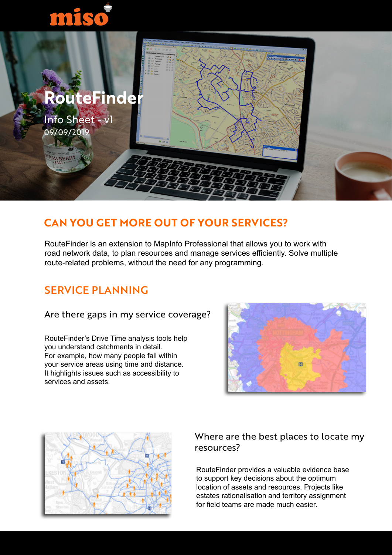# miso



## **CAN YOU GET MORE OUT OF YOUR SERVICES?**

RouteFinder is an extension to MapInfo Professional that allows you to work with road network data, to plan resources and manage services efficiently. Solve multiple route-related problems, without the need for any programming.

## SERVICE PLANNING

### Are there gaps in my service coverage?

RouteFinder's Drive Time analysis tools help you understand catchments in detail. For example, how many people fall within your service areas using time and distance. It highlights issues such as accessibility to services and assets.





### Where are the best places to locate my resources?

RouteFinder provides a valuable evidence base to support key decisions about the optimum location of assets and resources. Projects like estates rationalisation and territory assignment for field teams are made much easier.